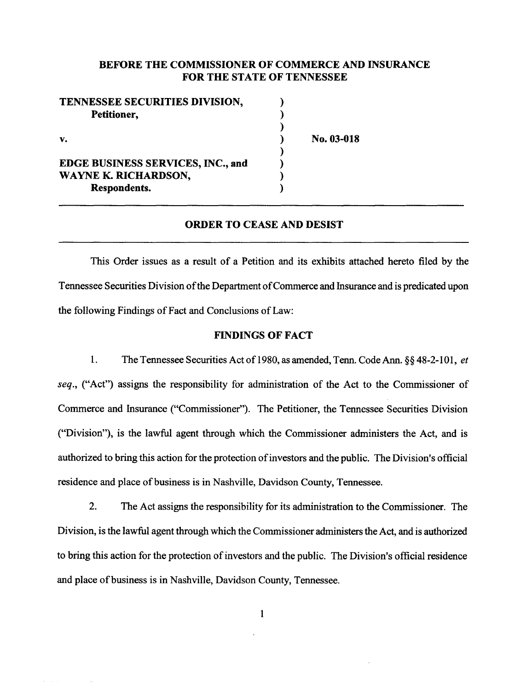## BEFORE THE COMMISSIONER OF COMMERCE AND INSURANCE FOR THE STATE OF TENNESSEE

No. 03-018

| TENNESSEE SECURITIES DIVISION,           |  |
|------------------------------------------|--|
| Petitioner,                              |  |
|                                          |  |
| v.                                       |  |
|                                          |  |
| <b>EDGE BUSINESS SERVICES, INC., and</b> |  |
| WAYNE K. RICHARDSON,                     |  |
| <b>Respondents.</b>                      |  |

# ORDER TO CEASE AND DESIST

This Order issues as a result of a Petition and its exhibits attached hereto filed by the Tennessee Securities Division of the Department of Commerce and Insurance and is predicated upon the following Findings of Fact and Conclusions of Law:

### FINDINGS OF FACT

1. The Tennessee Securities Act of 1980, as amended, Tenn. Code Ann. §§ 48-2-101, *et seq.,* ("Act") assigns the responsibility for administration of the Act to the Commissioner of Commerce and Insurance ("Commissioner"). The Petitioner, the Tennessee Securities Division ("Division"), is the lawful agent through which the Commissioner administers the Act, and is authorized to bring this action for the protection of investors and the public. The Division's official residence and place of business is in Nashville, Davidson County, Tennessee.

2. The Act assigns the responsibility for its administration to the Commissioner. The Division, is the lawful agent through which the Commissioner administers the Act, and is authorized to bring this action for the protection of investors and the public. The Division's official residence and place of business is in Nashville, Davidson County, Tennessee.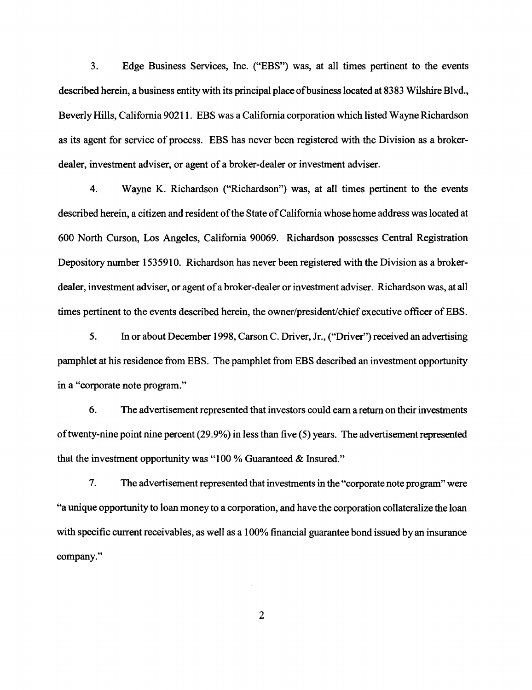3. Edge Business Services, Inc. ("EBS") was, at all times pertinent to the events described herein, a business entity with its principal place of business located at 8383 Wilshire Blvd., Beverly Hills, California 90211. EBS was a California corporation which listed Wayne Richardson as its agent for service of process. EBS has never been registered with the Division as a brokerdealer, investment adviser, or agent of a broker-dealer or investment adviser.

4. Wayne K. Richardson ("Richardson") was, at all times pertinent to the events described herein, a citizen and resident of the State of California whose home address was located at 600 North Curson, Los Angeles, California 90069. Richardson possesses Central Registration Depository number 1535910. Richardson has never been registered with the Division as a brokerdealer, investment adviser, or agent of a broker-dealer or investment adviser. Richardson was, at all times pertinent to the events described herein, the owner/president/chief executive officer of EBS.

5. In or about December 1998, Carson C. Driver, Jr., ("Driver") received an advertising pamphlet at his residence from EBS. The pamphlet from EBS described an investment opportunity in a "corporate note program."

6. The advertisement represented that investors could earn a return on their investments of twenty-nine point nine percent  $(29.9\%)$  in less than five  $(5)$  years. The advertisement represented that the investment opportunity was "100 % Guaranteed & Insured."

7. The advertisement represented that investments in the "corporate note program" were "a unique opportunity to loan money to a corporation, and have the corporation collateralize the loan with specific current receivables, as well as a 100% financial guarantee bond issued by an insurance company."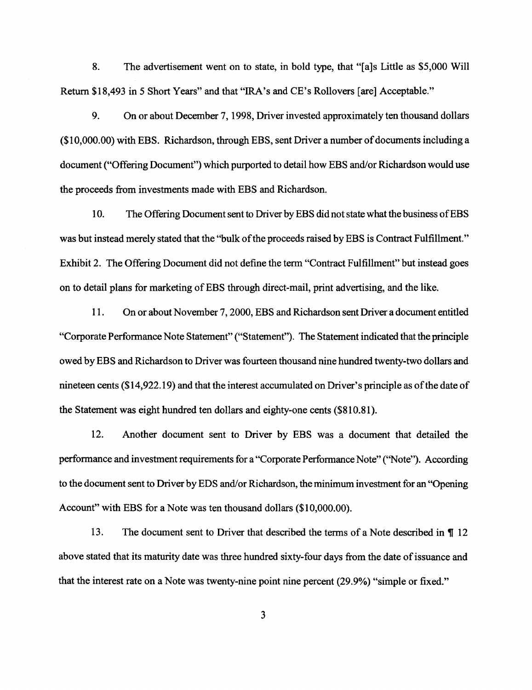8. The advertisement went on to state, in bold type, that "[a]s Little as \$5,000 Will Return \$18,493 in *5* Short Years" and that "IRA's and CE's Rollovers [are] Acceptable."

9. On or about December 7, 1998, Driver invested approximately ten thousand dollars (\$1 0,000.00) with EBS. Richardson, through EBS, sent Driver a number of documents including a document ("Offering Document") which purported to detail how EBS and/or Richardson would use the proceeds from investments made with EBS and Richardson.

10. The Offering Document sent to Driver by EBS did not state what the business ofEBS was but instead merely stated that the "bulk of the proceeds raised by EBS is Contract Fulfillment." Exhibit 2. The Offering Document did not define the term "Contract Fulfillment" but instead goes on to detail plans for marketing of EBS through direct-mail, print advertising, and the like.

11. On or about November 7, 2000, EBS and Richardson sent Driver a document entitled "Corporate Performance Note Statement" ("Statement"). The Statement indicated that the principle owed by EBS and Richardson to Driver was fourteen thousand nine hundred twenty-two dollars and nineteen cents (\$14,922.19) and that the interest accumulated on Driver's principle as of the date of the Statement was eight hundred ten dollars and eighty-one cents (\$810.81).

12. Another document sent to Driver by EBS was a document that detailed the performance and investment requirements for a "Corporate Performance Note" (''Note"). According to the document sent to Driver by EDS and/or Richardson, the minimum investment for an "Opening Account" with EBS for a Note was ten thousand dollars (\$10,000.00).

13. The document sent to Driver that described the terms of a Note described in  $\P$  12 above stated that its maturity date was three hundred sixty-four days from the date of issuance and that the interest rate on a Note was twenty-nine point nine percent (29.9%) "simple or fixed."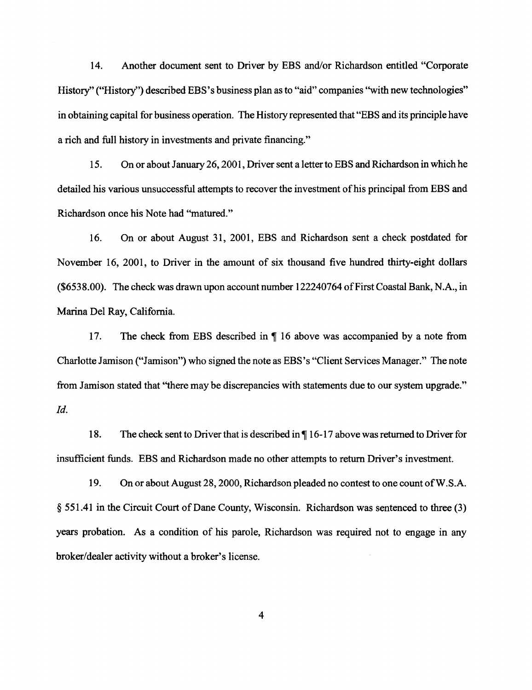14. Another document sent to Driver by EBS and/or Richardson entitled "Corporate History" ("History") described EBS's business plan as to "aid" companies "with new technologies" in obtaining capital for business operation. The History represented that "EBS and its principle have a rich and full history in investments and private financing."

15. On or about January 26, 2001, Driver sent a letter to EBS and Richardson in which he detailed his various unsuccessful attempts to recover the investment of his principal from EBS and Richardson once his Note had "matured."

16. On or about August 31, 2001, EBS and Richardson sent a check postdated for November 16, 2001, to Driver in the amount of six thousand five hundred thirty-eight dollars (\$6538.00). The check was drawn upon account number 122240764 of First Coastal Bank, N.A., in Marina Del Ray, California.

17. The check from EBS described in  $\P$  16 above was accompanied by a note from Charlotte Jamison ("Jamison") who signed the note as EBS's "Client Services Manager." The note from Jamison stated that "there may be discrepancies with statements due to our system upgrade." *!d.* 

18. The check sent to Driver that is described in  $\P$ 16-17 above was returned to Driver for insufficient funds. EBS and Richardson made no other attempts to return Driver's investment.

19. On or about August 28, 2000, Richardson pleaded no contest to one count ofW.S.A. § 551.41 in the Circuit Court of Dane County, Wisconsin. Richardson was sentenced to three (3) years probation. As a condition of his parole, Richardson was required not to engage in any broker/dealer activity without a broker's license.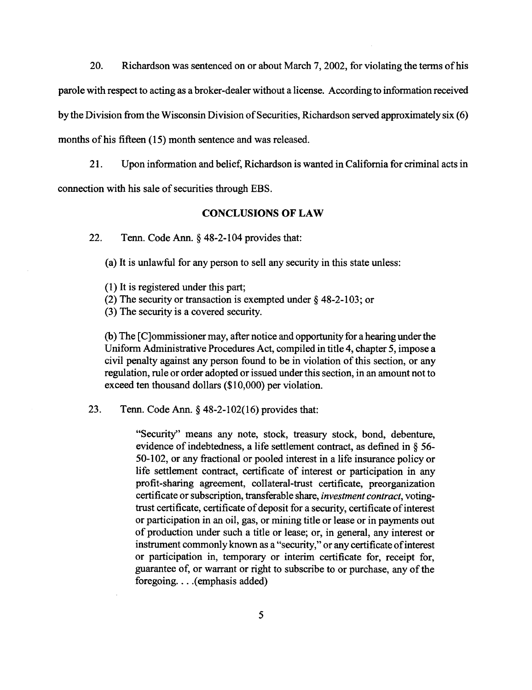20. Richardson was sentenced on or about March 7, 2002, for violating the terms of his parole with respect to acting as a broker-dealer without a license. According to information received by the Division from the Wisconsin Division of Securities, Richardson served approximately six (6) months of his fifteen (15) month sentence and was released.

21. Upon information and belief, Richardson is wanted in California for criminal acts in connection with his sale of securities through EBS.

#### **CONCLUSIONS OF LAW**

22. Tenn. Code Ann. § 48-2-104 provides that:

(a) It is unlawful for any person to sell any security in this state unless:

(1) It is registered under this part;

- (2) The security or transaction is exempted under§ 48-2-103; or
- (3) The security is a covered security.

(b) The [ C]ommissioner may, after notice and opportunity for a hearing under the Uniform Administrative Procedures Act, compiled in title 4, chapter 5, impose a civil penalty against any person found to be in violation of this section, or any regulation, rule or order adopted or issued under this section, in an amount not to exceed ten thousand dollars (\$10,000) per violation.

23. Tenn. Code Ann.§ 48-2-102(16) provides that:

"Security" means any note, stock, treasury stock, bond, debenture, evidence of indebtedness, a life settlement contract, as defined in § 56- 50-102, or any fractional or pooled interest in a life insurance policy or life settlement contract, certificate of interest or participation in any profit-sharing agreement, collateral-trust certificate, preorganization certificate or subscription, transferable share, *investment contract,* votingtrust certificate, certificate of deposit for a security, certificate of interest or participation in an oil, gas, or mining title or lease or in payments out of production under such a title or lease; or, in general, any interest or instrument commonly known as a "security," or any certificate of interest or participation in, temporary or interim certificate for, receipt for, guarantee of, or warrant or right to subscribe to or purchase, any of the foregoing.... (emphasis added)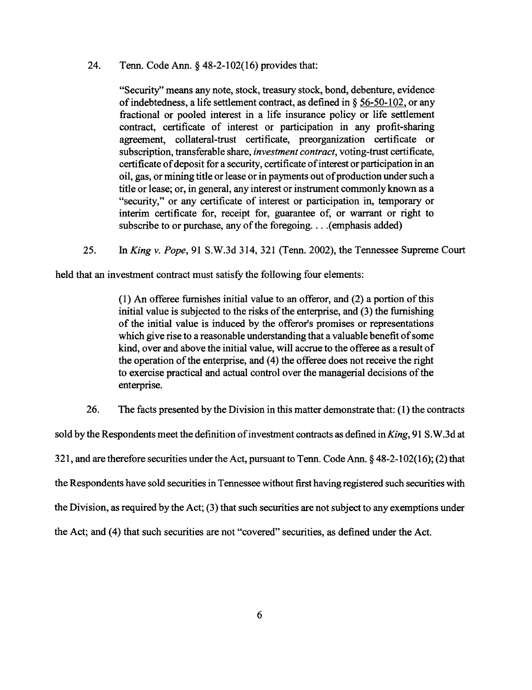#### 24. Tenn. Code Ann.§ 48-2-102(16) provides that:

"Security'' means any note, stock, treasury stock, bond, debenture, evidence of indebtedness, a life settlement contract, as defined in§ 56-50-102, or any fractional or pooled interest in a life insurance policy or life settlement contract, certificate of interest or participation in any profit-sharing agreement, collateral-trust certificate, preorganization certificate or subscription, transferable share, *investment contract,* voting-trust certificate, certificate of deposit for a security, certificate of interest or participation in an oil, gas, or mining title or lease or in payments out of production under such a title or lease; or, in general, any interest or instrument commonly known as a "security," or any certificate of interest or participation in, temporary or interim certificate for, receipt for, guarantee of, or warrant or right to subscribe to or purchase, any of the foregoing. . . . (emphasis added)

25. *InKing v. Pope,* 91 S.W.3d 314,321 (Tenn. 2002), the Tennessee Supreme Court

held that an investment contract must satisfy the following four elements:

(1) An offeree furnishes initial value to an offeror, and (2) a portion of this initial value is subjected to the risks of the enterprise, and (3) the furnishing of the initial value is induced by the offeror's promises or representations which give rise to a reasonable understanding that a valuable benefit of some kind, over and above the initial value, will accrue to the offeree as a result of the operation of the enterprise, and (4) the offeree does not receive the right to exercise practical and actual control over the managerial decisions of the enterprise.

26. The facts presented by the Division in this matter demonstrate that: (1) the contracts

sold by the Respondents meet the definition of investment contracts as defined in *King,* 91 S. W.3d at 321, and are therefore securities under the Act, pursuant to Tenn. Code Ann.§ 48-2-102(16); (2) that the Respondents have sold securities in Tennessee without first having registered such securities with the Division, as required by the Act; (3) that such securities are not subject to any exemptions under the Act; and (4) that such securities are not "covered" securities, as defined under the Act.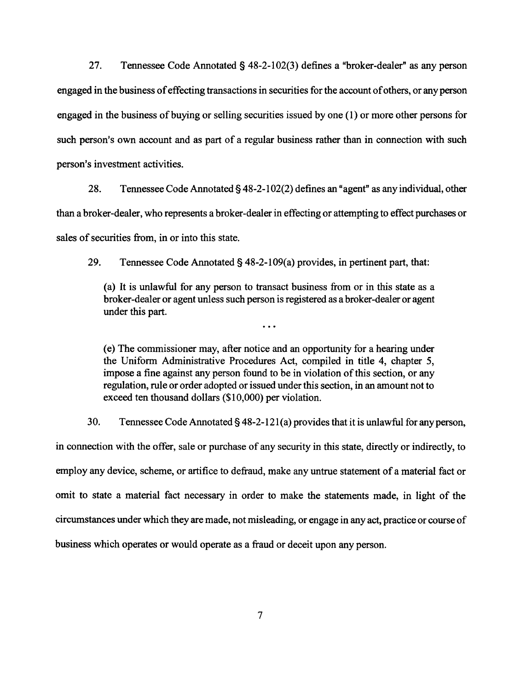27. Tennessee Code Annotated§ 48-2-102(3) defines a "broker-dealer" as any person engaged in the business of effecting transactions in securities for the account of others, or any person engaged in the business of buying or selling securities issued by one  $(1)$  or more other persons for such person's own account and as part of a regular business rather than in connection with such person's investment activities.

28. Tennessee Code Annotated§ 48-2-102(2) defines an" agent" as any individual, other than a broker-dealer, who represents a broker-dealer in effecting or attempting to effect purchases or sales of securities from, in or into this state.

29. Tennessee Code Annotated§ 48-2-109(a) provides, in pertinent part, that:

(a) It is unlawful for any person to transact business from or in this state as a broker-dealer or agent unless such person is registered as a broker-dealer or agent under this part.

 $\ddotsc$ 

(e) The commissioner may, after notice and an opportunity for a hearing under the Uniform Administrative Procedures Act, compiled in title 4, chapter 5, impose a fine against any person found to be in violation of this section, or any regulation, rule or order adopted or issued under this section, in an amount not to exceed ten thousand dollars (\$10,000) per violation.

30. Tennessee Code Annotated§ 48-2-121(a) provides that it is unlawful foranyperson,

in connection with the offer, sale or purchase of any security in this state, directly or indirectly, to employ any device, scheme, or artifice to defraud, make any untrue statement of a material fact or omit to state a material fact necessary in order to make the statements made, in light of the circumstances under which they are made, not misleading, or engage in any act, practice or course of business which operates or would operate as a fraud or deceit upon any person.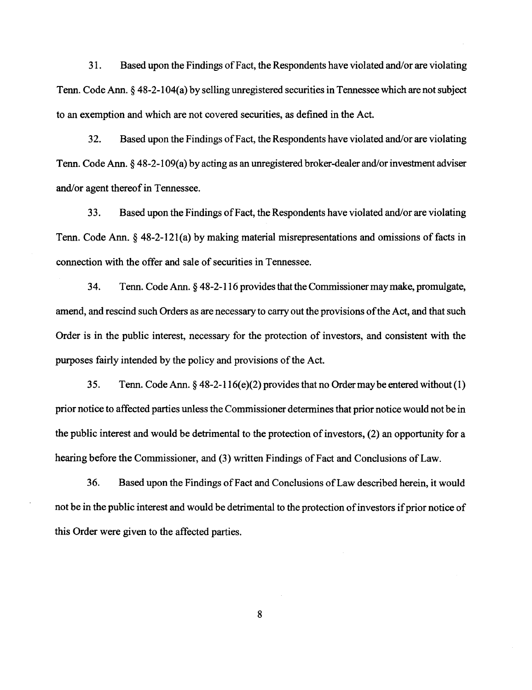31. Based upon the Findings of Fact, the Respondents have violated and/or are violating Tenn. Code Ann. § 48-2-104(a) by selling unregistered securities in Tennessee which are not subject to an exemption and which are not covered securities, as defined in the Act.

32. Based upon the Findings of Fact, the Respondents have violated and/or are violating Tenn. Code Ann. § 48-2-109(a) by acting as an unregistered broker-dealer and/or investment adviser and/or agent thereof in Tennessee.

33. Based upon the Findings of Fact, the Respondents have violated and/or are violating Tenn. Code Ann.§ 48-2-12l(a) by making material misrepresentations and omissions of facts in connection with the offer and sale of securities in Tennessee.

34. Tenn. Code Ann. § 48-2-116 provides that the Commissioner may make, promulgate, amend, and rescind such Orders as are necessary to carry out the provisions of the Act, and that such Order is in the public interest, necessary for the protection of investors, and consistent with the purposes fairly intended by the policy and provisions of the Act.

35. Tenn. Code Ann. § 48-2-116(e)(2) provides that no Order may be entered without (1) prior notice to affected parties unless the Commissioner determines that prior notice would not be in the public interest and would be detrimental to the protection of investors, (2) an opportunity for a hearing before the Commissioner, and (3) written Findings of Fact and Conclusions of Law.

36. Based upon the Findings of Fact and Conclusions of Law described herein, it would not be in the public interest and would be detrimental to the protection of investors if prior notice of this Order were given to the affected parties.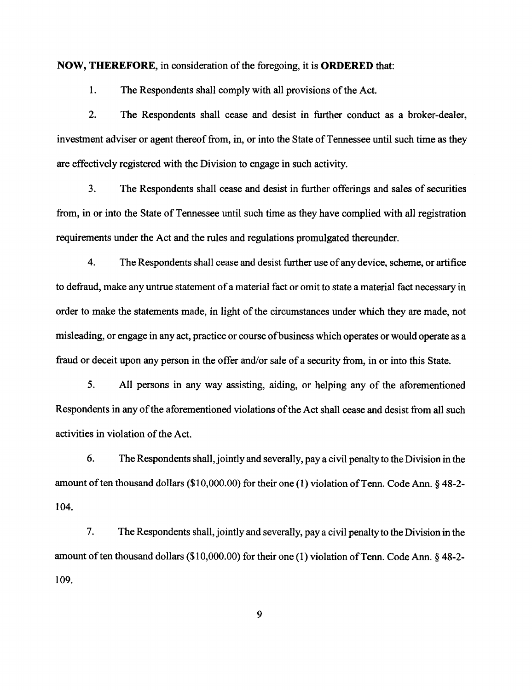#### **NOW, THEREFORE,** in consideration of the foregoing, it is **ORDERED** that:

1. The Respondents shall comply with all provisions of the Act.

2. The Respondents shall cease and desist in further conduct as a broker-dealer, investment adviser or agent thereof from, in, or into the State of Tennessee until such time as they are effectively registered with the Division to engage in such activity.

3. The Respondents shall cease and desist in further offerings and sales of securities from, in or into the State of Tennessee until such time as they have complied with all registration requirements under the Act and the rules and regulations promulgated thereunder.

4. The Respondents shall cease and desist further use of any device, scheme, or artifice to defraud, make any untrue statement of a material fact or omit to state a material fact necessary in order to make the statements made, in light of the circumstances under which they are made, not misleading, or engage in any act, practice or course ofbusiness which operates or would operate as a fraud or deceit upon any person in the offer and/or sale of a security from, in or into this State.

5. All persons in any way assisting, aiding, or helping any of the aforementioned Respondents in any of the aforementioned violations of the Act shall cease and desist from all such activities in violation of the Act.

6. The Respondents shall, jointly and severally, pay a civil penalty to the Division in the amount of ten thousand dollars (\$10,000.00) for their one (1) violation of Tenn. Code Ann.  $\S$  48-2-104.

7. The Respondents shall, jointly and severally, pay a civil penalty to the Division in the amount of ten thousand dollars (\$10,000.00) for their one (1) violation of Tenn. Code Ann. § 48-2-109.